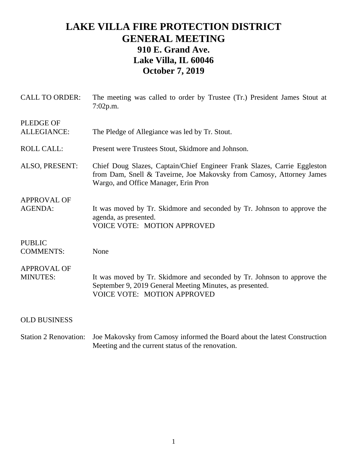## **LAKE VILLA FIRE PROTECTION DISTRICT GENERAL MEETING 910 E. Grand Ave. Lake Villa, IL 60046 October 7, 2019**

| <b>CALL TO ORDER:</b>                 | The meeting was called to order by Trustee (Tr.) President James Stout at<br>7:02p.m.                                                                                                    |
|---------------------------------------|------------------------------------------------------------------------------------------------------------------------------------------------------------------------------------------|
| <b>PLEDGE OF</b><br>ALLEGIANCE:       | The Pledge of Allegiance was led by Tr. Stout.                                                                                                                                           |
| <b>ROLL CALL:</b>                     | Present were Trustees Stout, Skidmore and Johnson.                                                                                                                                       |
| ALSO, PRESENT:                        | Chief Doug Slazes, Captain/Chief Engineer Frank Slazes, Carrie Eggleston<br>from Dam, Snell & Taveirne, Joe Makovsky from Camosy, Attorney James<br>Wargo, and Office Manager, Erin Pron |
| <b>APPROVAL OF</b><br><b>AGENDA:</b>  | It was moved by Tr. Skidmore and seconded by Tr. Johnson to approve the<br>agenda, as presented.<br><b>VOICE VOTE: MOTION APPROVED</b>                                                   |
| <b>PUBLIC</b><br><b>COMMENTS:</b>     | None                                                                                                                                                                                     |
| <b>APPROVAL OF</b><br><b>MINUTES:</b> | It was moved by Tr. Skidmore and seconded by Tr. Johnson to approve the<br>September 9, 2019 General Meeting Minutes, as presented.<br><b>VOICE VOTE: MOTION APPROVED</b>                |
| <b>OLD BUSINESS</b>                   |                                                                                                                                                                                          |
|                                       |                                                                                                                                                                                          |

Station 2 Renovation: Joe Makovsky from Camosy informed the Board about the latest Construction Meeting and the current status of the renovation.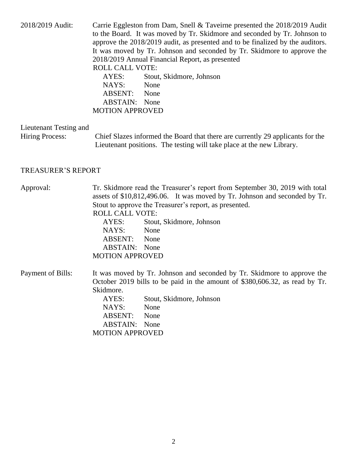| 2018/2019 Audit:                                 | Carrie Eggleston from Dam, Snell & Taveirne presented the 2018/2019 Audit<br>to the Board. It was moved by Tr. Skidmore and seconded by Tr. Johnson to<br>approve the 2018/2019 audit, as presented and to be finalized by the auditors.<br>It was moved by Tr. Johnson and seconded by Tr. Skidmore to approve the<br>2018/2019 Annual Financial Report, as presented<br><b>ROLL CALL VOTE:</b><br>AYES:<br>Stout, Skidmore, Johnson<br>NAYS:<br>None<br>ABSENT:<br>None<br><b>ABSTAIN:</b> None<br><b>MOTION APPROVED</b> |  |
|--------------------------------------------------|-----------------------------------------------------------------------------------------------------------------------------------------------------------------------------------------------------------------------------------------------------------------------------------------------------------------------------------------------------------------------------------------------------------------------------------------------------------------------------------------------------------------------------|--|
| Lieutenant Testing and<br><b>Hiring Process:</b> | Chief Slazes informed the Board that there are currently 29 applicants for the<br>Lieutenant positions. The testing will take place at the new Library.                                                                                                                                                                                                                                                                                                                                                                     |  |
| <b>TREASURER'S REPORT</b>                        |                                                                                                                                                                                                                                                                                                                                                                                                                                                                                                                             |  |
| Approval:                                        | Tr. Skidmore read the Treasurer's report from September 30, 2019 with total<br>assets of \$10,812,496.06. It was moved by Tr. Johnson and seconded by Tr.<br>Stout to approve the Treasurer's report, as presented.<br><b>ROLL CALL VOTE:</b><br>Stout, Skidmore, Johnson<br>AYES:<br>NAYS:<br>None<br>ABSENT: None<br><b>ABSTAIN:</b> None<br><b>MOTION APPROVED</b>                                                                                                                                                       |  |
| Payment of Bills:                                | It was moved by Tr. Johnson and seconded by Tr. Skidmore to approve the<br>October 2019 bills to be paid in the amount of \$380,606.32, as read by Tr.<br>Skidmore.<br>AYES:<br>Stout, Skidmore, Johnson<br>NAYS:<br>None<br><b>ABSENT:</b><br>None<br><b>ABSTAIN:</b><br>None<br><b>MOTION APPROVED</b>                                                                                                                                                                                                                    |  |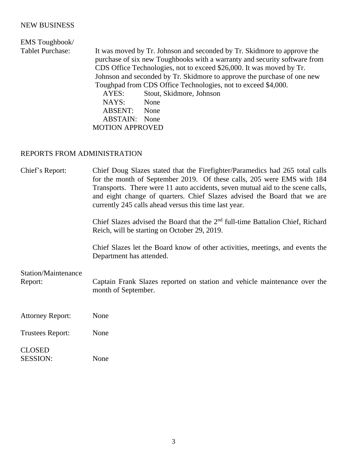## NEW BUSINESS

## EMS Toughbook/ Tablet Purchase: It was moved by Tr. Johnson and seconded by Tr. Skidmore to approve the purchase of six new Toughbooks with a warranty and security software from CDS Office Technologies, not to exceed \$26,000. It was moved by Tr. Johnson and seconded by Tr. Skidmore to approve the purchase of one new Toughpad from CDS Office Technologies, not to exceed \$4,000. AYES: Stout, Skidmore, Johnson NAYS: None ABSENT: None ABSTAIN: None MOTION APPROVED

## REPORTS FROM ADMINISTRATION

| Chief's Report:                  | Chief Doug Slazes stated that the Firefighter/Paramedics had 265 total calls<br>for the month of September 2019. Of these calls, 205 were EMS with 184<br>Transports. There were 11 auto accidents, seven mutual aid to the scene calls,<br>and eight change of quarters. Chief Slazes advised the Board that we are<br>currently 245 calls ahead versus this time last year. |
|----------------------------------|-------------------------------------------------------------------------------------------------------------------------------------------------------------------------------------------------------------------------------------------------------------------------------------------------------------------------------------------------------------------------------|
|                                  | Chief Slazes advised the Board that the $2nd$ full-time Battalion Chief, Richard<br>Reich, will be starting on October 29, 2019.                                                                                                                                                                                                                                              |
|                                  | Chief Slazes let the Board know of other activities, meetings, and events the<br>Department has attended.                                                                                                                                                                                                                                                                     |
| Station/Maintenance<br>Report:   | Captain Frank Slazes reported on station and vehicle maintenance over the<br>month of September.                                                                                                                                                                                                                                                                              |
| <b>Attorney Report:</b>          | None                                                                                                                                                                                                                                                                                                                                                                          |
| <b>Trustees Report:</b>          | None                                                                                                                                                                                                                                                                                                                                                                          |
| <b>CLOSED</b><br><b>SESSION:</b> | None                                                                                                                                                                                                                                                                                                                                                                          |